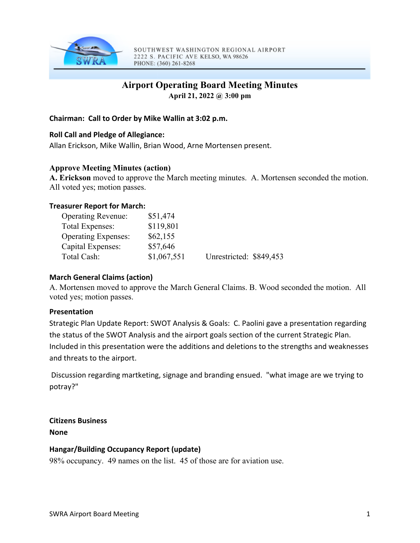

SOUTHWEST WASHINGTON REGIONAL AIRPORT 2222 S. PACIFIC AVE KELSO, WA 98626 PHONE: (360) 261-8268

# **Airport Operating Board Meeting Minutes**

**April 21, 2022 @ 3:00 pm** 

#### **Chairman: Call to Order by Mike Wallin at 3:02 p.m.**

## **Roll Call and Pledge of Allegiance:**

Allan Erickson, Mike Wallin, Brian Wood, Arne Mortensen present.

## **Approve Meeting Minutes (action)**

**A. Erickson** moved to approve the March meeting minutes. A. Mortensen seconded the motion. All voted yes; motion passes.

#### **Treasurer Report for March:**

| <b>Operating Revenue:</b>  | \$51,474    |                         |  |
|----------------------------|-------------|-------------------------|--|
| Total Expenses:            | \$119,801   |                         |  |
| <b>Operating Expenses:</b> | \$62,155    |                         |  |
| Capital Expenses:          | \$57,646    |                         |  |
| Total Cash:                | \$1,067,551 | Unrestricted: \$849,453 |  |

#### **March General Claims (action)**

A. Mortensen moved to approve the March General Claims. B. Wood seconded the motion. All voted yes; motion passes.

#### **Presentation**

Strategic Plan Update Report: SWOT Analysis & Goals: C. Paolini gave a presentation regarding the status of the SWOT Analysis and the airport goals section of the current Strategic Plan. Included in this presentation were the additions and deletions to the strengths and weaknesses and threats to the airport.

Discussion regarding martketing, signage and branding ensued. "what image are we trying to potray?"

**Citizens Business None**

#### **Hangar/Building Occupancy Report (update)**

98% occupancy. 49 names on the list. 45 of those are for aviation use.